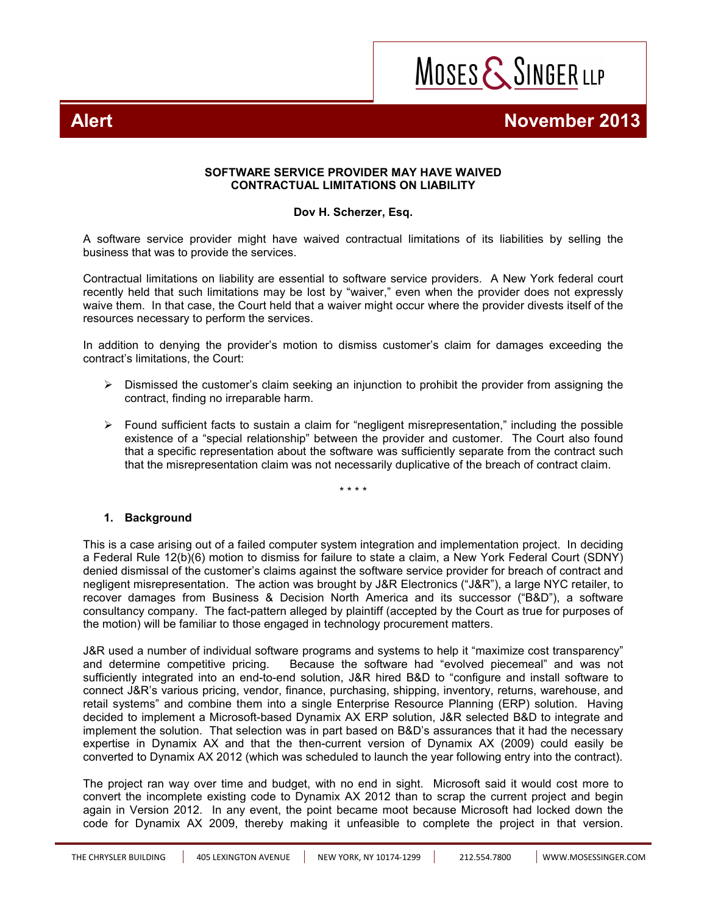

## **Alert Alexander 2013**

#### **SOFTWARE SERVICE PROVIDER MAY HAVE WAIVED CONTRACTUAL LIMITATIONS ON LIABILITY**

### **[Dov H. Scherzer, Esq.](http://www.mosessinger.com/attorneys/dov-h-scherzer)**

A software service provider might have waived contractual limitations of its liabilities by selling the business that was to provide the services.

Contractual limitations on liability are essential to software service providers. A New York federal court recently held that such limitations may be lost by "waiver," even when the provider does not expressly waive them. In that case, the Court held that a waiver might occur where the provider divests itself of the resources necessary to perform the services.

In addition to denying the provider's motion to dismiss customer's claim for damages exceeding the contract's limitations, the Court:

- $\triangleright$  Dismissed the customer's claim seeking an injunction to prohibit the provider from assigning the contract, finding no irreparable harm.
- $\triangleright$  Found sufficient facts to sustain a claim for "negligent misrepresentation," including the possible existence of a "special relationship" between the provider and customer. The Court also found that a specific representation about the software was sufficiently separate from the contract such that the misrepresentation claim was not necessarily duplicative of the breach of contract claim.

\* \* \* \*

#### **1. Background**

This is a case arising out of a failed computer system integration and implementation project. In deciding a Federal Rule 12(b)(6) motion to dismiss for failure to state a claim, a New York Federal Court (SDNY) denied dismissal of the customer's claims against the software service provider for breach of contract and negligent misrepresentation. The action was brought by J&R Electronics ("J&R"), a large NYC retailer, to recover damages from Business & Decision North America and its successor ("B&D"), a software consultancy company. The fact-pattern alleged by plaintiff (accepted by the Court as true for purposes of the motion) will be familiar to those engaged in technology procurement matters.

J&R used a number of individual software programs and systems to help it "maximize cost transparency" and determine competitive pricing. Because the software had "evolved piecemeal" and was not sufficiently integrated into an end-to-end solution, J&R hired B&D to "configure and install software to connect J&R's various pricing, vendor, finance, purchasing, shipping, inventory, returns, warehouse, and retail systems" and combine them into a single Enterprise Resource Planning (ERP) solution. Having decided to implement a Microsoft-based Dynamix AX ERP solution, J&R selected B&D to integrate and implement the solution. That selection was in part based on B&D's assurances that it had the necessary expertise in Dynamix AX and that the then-current version of Dynamix AX (2009) could easily be converted to Dynamix AX 2012 (which was scheduled to launch the year following entry into the contract).

The project ran way over time and budget, with no end in sight. Microsoft said it would cost more to convert the incomplete existing code to Dynamix AX 2012 than to scrap the current project and begin again in Version 2012. In any event, the point became moot because Microsoft had locked down the code for Dynamix AX 2009, thereby making it unfeasible to complete the project in that version.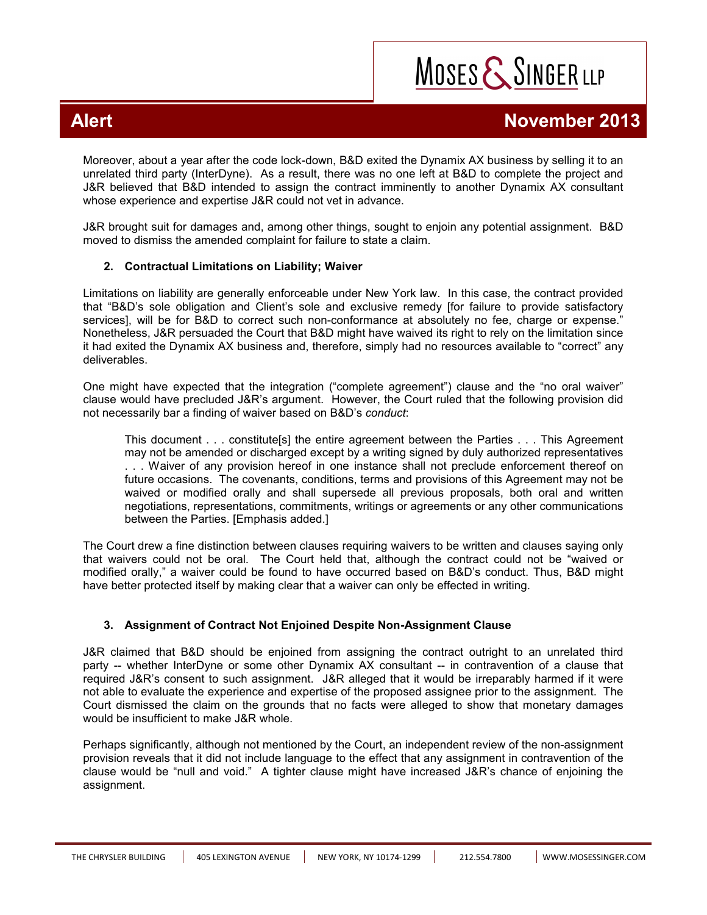MOSES & SINGER LLP

Moreover, about a year after the code lock-down, B&D exited the Dynamix AX business by selling it to an unrelated third party (InterDyne). As a result, there was no one left at B&D to complete the project and J&R believed that B&D intended to assign the contract imminently to another Dynamix AX consultant whose experience and expertise J&R could not vet in advance.

J&R brought suit for damages and, among other things, sought to enjoin any potential assignment. B&D moved to dismiss the amended complaint for failure to state a claim.

## **2. Contractual Limitations on Liability; Waiver**

Limitations on liability are generally enforceable under New York law. In this case, the contract provided that "B&D's sole obligation and Client's sole and exclusive remedy [for failure to provide satisfactory services], will be for B&D to correct such non-conformance at absolutely no fee, charge or expense." Nonetheless, J&R persuaded the Court that B&D might have waived its right to rely on the limitation since it had exited the Dynamix AX business and, therefore, simply had no resources available to "correct" any deliverables.

One might have expected that the integration ("complete agreement") clause and the "no oral waiver" clause would have precluded J&R's argument. However, the Court ruled that the following provision did not necessarily bar a finding of waiver based on B&D's *conduct*:

This document . . . constitute[s] the entire agreement between the Parties . . . This Agreement may not be amended or discharged except by a writing signed by duly authorized representatives . . . Waiver of any provision hereof in one instance shall not preclude enforcement thereof on future occasions. The covenants, conditions, terms and provisions of this Agreement may not be waived or modified orally and shall supersede all previous proposals, both oral and written negotiations, representations, commitments, writings or agreements or any other communications between the Parties. [Emphasis added.]

The Court drew a fine distinction between clauses requiring waivers to be written and clauses saying only that waivers could not be oral. The Court held that, although the contract could not be "waived or modified orally," a waiver could be found to have occurred based on B&D's conduct. Thus, B&D might have better protected itself by making clear that a waiver can only be effected in writing.

## **3. Assignment of Contract Not Enjoined Despite Non-Assignment Clause**

J&R claimed that B&D should be enjoined from assigning the contract outright to an unrelated third party -- whether InterDyne or some other Dynamix AX consultant -- in contravention of a clause that required J&R's consent to such assignment. J&R alleged that it would be irreparably harmed if it were not able to evaluate the experience and expertise of the proposed assignee prior to the assignment. The Court dismissed the claim on the grounds that no facts were alleged to show that monetary damages would be insufficient to make J&R whole.

Perhaps significantly, although not mentioned by the Court, an independent review of the non-assignment provision reveals that it did not include language to the effect that any assignment in contravention of the clause would be "null and void." A tighter clause might have increased J&R's chance of enjoining the assignment.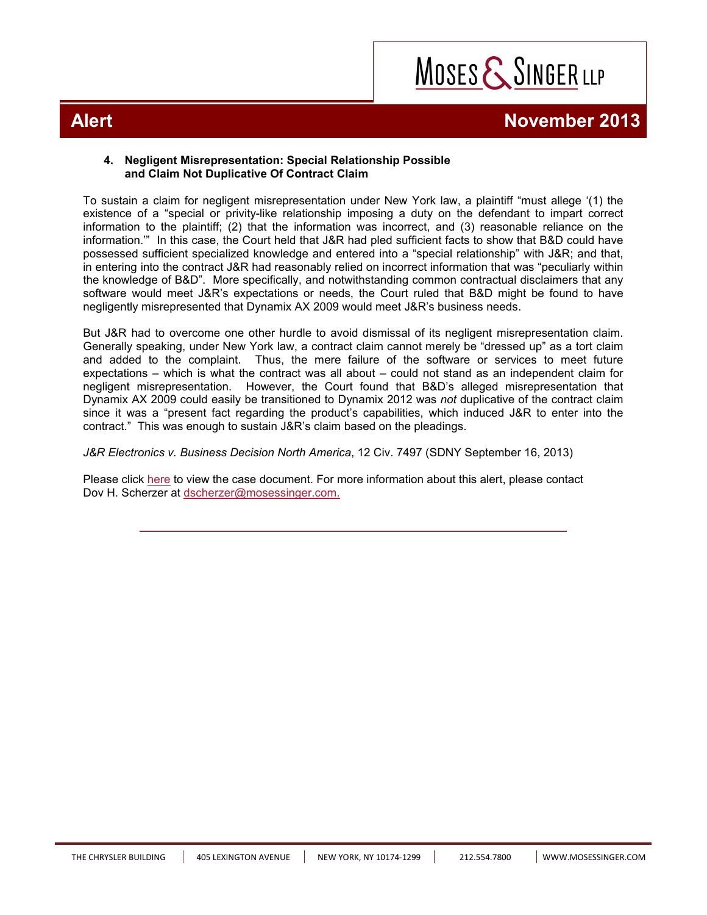

#### **4. Negligent Misrepresentation: Special Relationship Possible and Claim Not Duplicative Of Contract Claim**

To sustain a claim for negligent misrepresentation under New York law, a plaintiff "must allege '(1) the existence of a "special or privity-like relationship imposing a duty on the defendant to impart correct information to the plaintiff; (2) that the information was incorrect, and (3) reasonable reliance on the information.'" In this case, the Court held that J&R had pled sufficient facts to show that B&D could have possessed sufficient specialized knowledge and entered into a "special relationship" with J&R; and that, in entering into the contract J&R had reasonably relied on incorrect information that was "peculiarly within the knowledge of B&D". More specifically, and notwithstanding common contractual disclaimers that any software would meet J&R's expectations or needs, the Court ruled that B&D might be found to have negligently misrepresented that Dynamix AX 2009 would meet J&R's business needs.

But J&R had to overcome one other hurdle to avoid dismissal of its negligent misrepresentation claim. Generally speaking, under New York law, a contract claim cannot merely be "dressed up" as a tort claim and added to the complaint. Thus, the mere failure of the software or services to meet future expectations – which is what the contract was all about – could not stand as an independent claim for negligent misrepresentation. However, the Court found that B&D's alleged misrepresentation that Dynamix AX 2009 could easily be transitioned to Dynamix 2012 was *not* duplicative of the contract claim since it was a "present fact regarding the product's capabilities, which induced J&R to enter into the contract." This was enough to sustain J&R's claim based on the pleadings.

*[J&R Electronics v. Business Decision North America](http://www.mosessinger.com/site/files/j__r_v_business__decision_copy1.pdf)*, 12 Civ. 7497 (SDNY September 16, 2013)

Please click [here](http://www.mosessinger.com/site/files/j__r_v_business__decision_copy1.pdf) to view the case document. For more information about this alert, please contact Dov H. Scherzer at dscherzer@mosessinger.com.